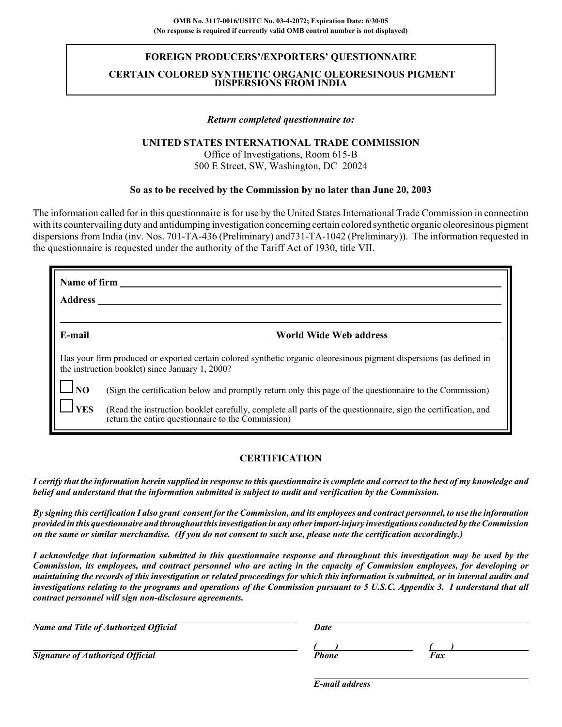## **FOREIGN PRODUCERS'/EXPORTERS' QUESTIONNAIRE**

### **CERTAIN COLORED SYNTHETIC ORGANIC OLEORESINOUS PIGMENT DISPERSIONS FROM INDIA**

#### *Return completed questionnaire to:*

### **UNITED STATES INTERNATIONAL TRADE COMMISSION**

Office of Investigations, Room 615-B 500 E Street, SW, Washington, DC 20024

#### **So as to be received by the Commission by no later than June 20, 2003**

The information called for in this questionnaire is for use by the United States International Trade Commission in connection with its countervailing duty and antidumping investigation concerning certain colored synthetic organic oleoresinous pigment dispersions from India (inv. Nos. 701-TA-436 (Preliminary) and731-TA-1042 (Preliminary)). The information requested in the questionnaire is requested under the authority of the Tariff Act of 1930, title VII.

|                | Name of firm                                                                                                                                                            |  |  |  |  |  |  |
|----------------|-------------------------------------------------------------------------------------------------------------------------------------------------------------------------|--|--|--|--|--|--|
| <b>Address</b> |                                                                                                                                                                         |  |  |  |  |  |  |
| E-mail         | World Wide Web address                                                                                                                                                  |  |  |  |  |  |  |
|                | Has your firm produced or exported certain colored synthetic organic oleoresinous pigment dispersions (as defined in<br>the instruction booklet) since January 1, 2000? |  |  |  |  |  |  |
| $\Box$ NO      | (Sign the certification below and promptly return only this page of the questionnaire to the Commission)                                                                |  |  |  |  |  |  |
| <b>YES</b>     | (Read the instruction booklet carefully, complete all parts of the questionnaire, sign the certification, and<br>return the entire questionnaire to the Commission)     |  |  |  |  |  |  |

## **CERTIFICATION**

*I certify that the information herein supplied in response to this questionnaire is complete and correct to the best of my knowledge and belief and understand that the information submitted is subject to audit and verification by the Commission.*

*By signing this certification I also grant consent for the Commission, and its employees and contract personnel, to use the information provided in this questionnaire and throughout this investigation in any other import-injury investigations conducted by the Commission on the same or similar merchandise. (If you do not consent to such use, please note the certification accordingly.)*

*I acknowledge that information submitted in this questionnaire response and throughout this investigation may be used by the Commission, its employees, and contract personnel who are acting in the capacity of Commission employees, for developing or maintaining the records of this investigation or related proceedings for which this information is submitted, or in internal audits and investigations relating to the programs and operations of the Commission pursuant to 5 U.S.C. Appendix 3. I understand that all contract personnel will sign non-disclosure agreements.*

| <b>Name and Title of Authorized Official</b> | Date  |     |  |
|----------------------------------------------|-------|-----|--|
|                                              |       |     |  |
| <b>Signature of Authorized Official</b>      | Phone | Fax |  |

*E-mail address*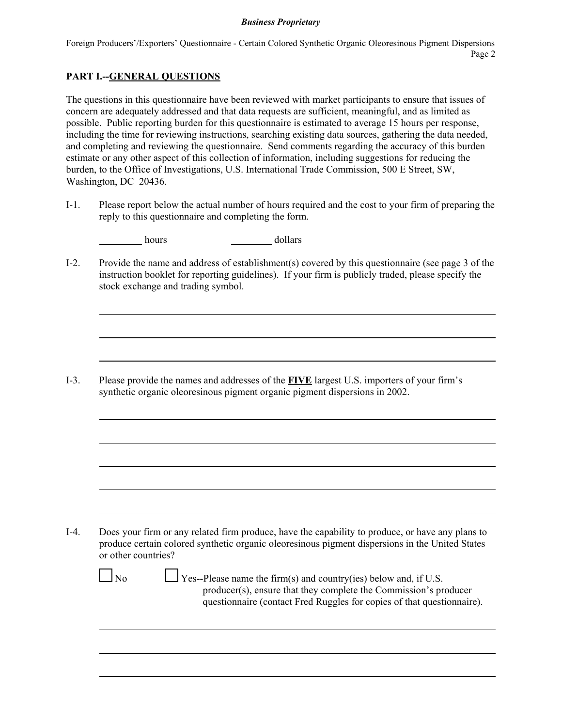Foreign Producers'/Exporters' Questionnaire - Certain Colored Synthetic Organic Oleoresinous Pigment Dispersions Page 2

# **PART I.--GENERAL QUESTIONS**

The questions in this questionnaire have been reviewed with market participants to ensure that issues of concern are adequately addressed and that data requests are sufficient, meaningful, and as limited as possible. Public reporting burden for this questionnaire is estimated to average 15 hours per response, including the time for reviewing instructions, searching existing data sources, gathering the data needed, and completing and reviewing the questionnaire. Send comments regarding the accuracy of this burden estimate or any other aspect of this collection of information, including suggestions for reducing the burden, to the Office of Investigations, U.S. International Trade Commission, 500 E Street, SW, Washington, DC 20436.

I-1. Please report below the actual number of hours required and the cost to your firm of preparing the reply to this questionnaire and completing the form.

| dollars<br>hours |
|------------------|
|------------------|

I-2. Provide the name and address of establishment(s) covered by this questionnaire (see page 3 of the instruction booklet for reporting guidelines). If your firm is publicly traded, please specify the stock exchange and trading symbol.

I-3. Please provide the names and addresses of the **FIVE** largest U.S. importers of your firm's synthetic organic oleoresinous pigment organic pigment dispersions in 2002.

I-4. Does your firm or any related firm produce, have the capability to produce, or have any plans to produce certain colored synthetic organic oleoresinous pigment dispersions in the United States or other countries?

 $\Box$  No  $\Box$  Yes--Please name the firm(s) and country(ies) below and, if U.S. producer(s), ensure that they complete the Commission's producer questionnaire (contact Fred Ruggles for copies of that questionnaire).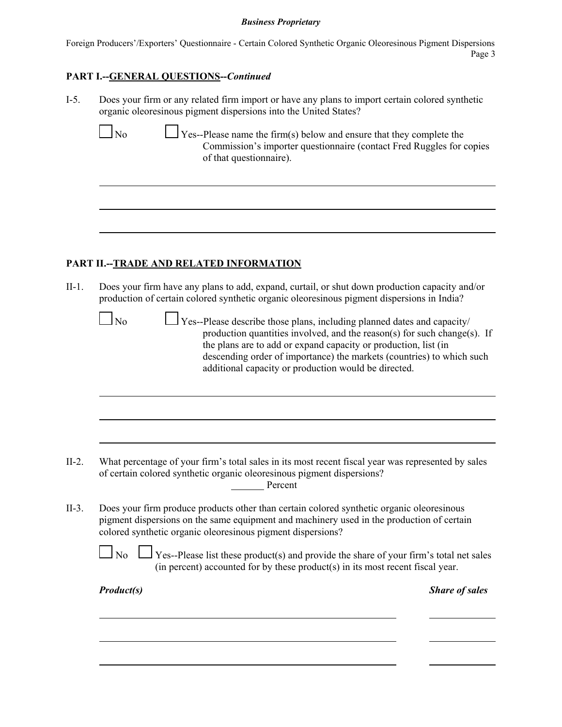Foreign Producers'/Exporters' Questionnaire - Certain Colored Synthetic Organic Oleoresinous Pigment Dispersions Page 3

## **PART I.--GENERAL QUESTIONS--***Continued*

I-5. Does your firm or any related firm import or have any plans to import certain colored synthetic organic oleoresinous pigment dispersions into the United States?

 $\bigcup$  Yes--Please name the firm(s) below and ensure that they complete the Commission's importer questionnaire (contact Fred Ruggles for copies of that questionnaire).

# **PART II.--TRADE AND RELATED INFORMATION**

II-1. Does your firm have any plans to add, expand, curtail, or shut down production capacity and/or production of certain colored synthetic organic oleoresinous pigment dispersions in India?

 $\Box$  No  $\Box$  Yes--Please describe those plans, including planned dates and capacity/ production quantities involved, and the reason(s) for such change(s). If the plans are to add or expand capacity or production, list (in descending order of importance) the markets (countries) to which such additional capacity or production would be directed.

- II-2. What percentage of your firm's total sales in its most recent fiscal year was represented by sales of certain colored synthetic organic oleoresinous pigment dispersions? Percent
- II-3. Does your firm produce products other than certain colored synthetic organic oleoresinous pigment dispersions on the same equipment and machinery used in the production of certain colored synthetic organic oleoresinous pigment dispersions?

|  | No $\Box$ Yes--Please list these product(s) and provide the share of your firm's total net sales |
|--|--------------------------------------------------------------------------------------------------|
|  | (in percent) accounted for by these product(s) in its most recent fiscal year.                   |

| <b>Product(s)</b> |  |  |
|-------------------|--|--|
|                   |  |  |
|                   |  |  |

*Share of sales*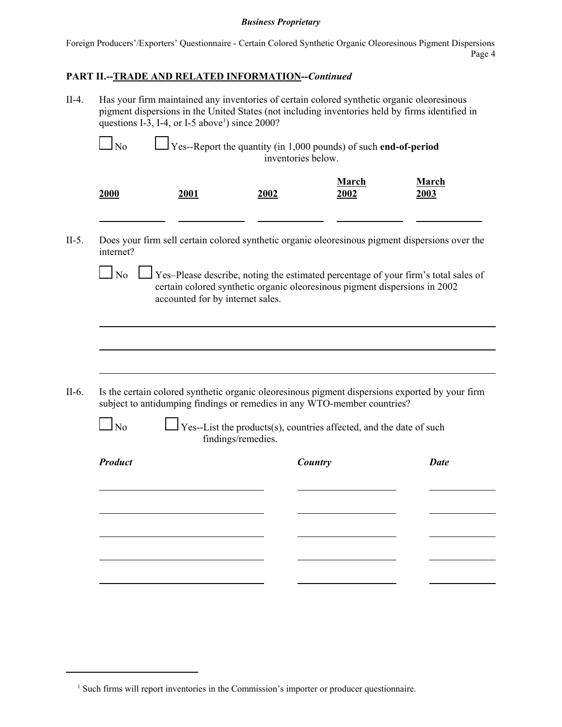Foreign Producers'/Exporters' Questionnaire - Certain Colored Synthetic Organic Oleoresinous Pigment Dispersions Page 4

# **PART II.--TRADE AND RELATED INFORMATION--***Continued*

|                |                                  | questions I-3, I-4, or I-5 above <sup>1</sup> ) since 2000?                               |                      |                                                                                                 |
|----------------|----------------------------------|-------------------------------------------------------------------------------------------|----------------------|-------------------------------------------------------------------------------------------------|
| N <sub>o</sub> |                                  | Yes--Report the quantity (in 1,000 pounds) of such end-of-period<br>inventories below.    |                      |                                                                                                 |
| 2000           | 2001                             | 2002                                                                                      | <b>March</b><br>2002 | <b>March</b><br>2003                                                                            |
| internet?      |                                  |                                                                                           |                      | Does your firm sell certain colored synthetic organic oleoresinous pigment dispersions over the |
| $\Box$ No      | accounted for by internet sales. | certain colored synthetic organic oleoresinous pigment dispersions in 2002                |                      | Yes-Please describe, noting the estimated percentage of your firm's total sales of              |
|                |                                  |                                                                                           |                      |                                                                                                 |
|                |                                  |                                                                                           |                      |                                                                                                 |
|                |                                  |                                                                                           |                      |                                                                                                 |
|                |                                  | subject to antidumping findings or remedies in any WTO-member countries?                  |                      |                                                                                                 |
| N <sub>o</sub> |                                  | Yes--List the products(s), countries affected, and the date of such<br>findings/remedies. |                      |                                                                                                 |
| <b>Product</b> |                                  |                                                                                           | Country              | <b>Date</b>                                                                                     |
|                |                                  |                                                                                           |                      | Is the certain colored synthetic organic oleoresinous pigment dispersions exported by your firm |
|                |                                  |                                                                                           |                      |                                                                                                 |
|                |                                  |                                                                                           |                      |                                                                                                 |
|                |                                  |                                                                                           |                      |                                                                                                 |

<sup>&</sup>lt;sup>1</sup> Such firms will report inventories in the Commission's importer or producer questionnaire.